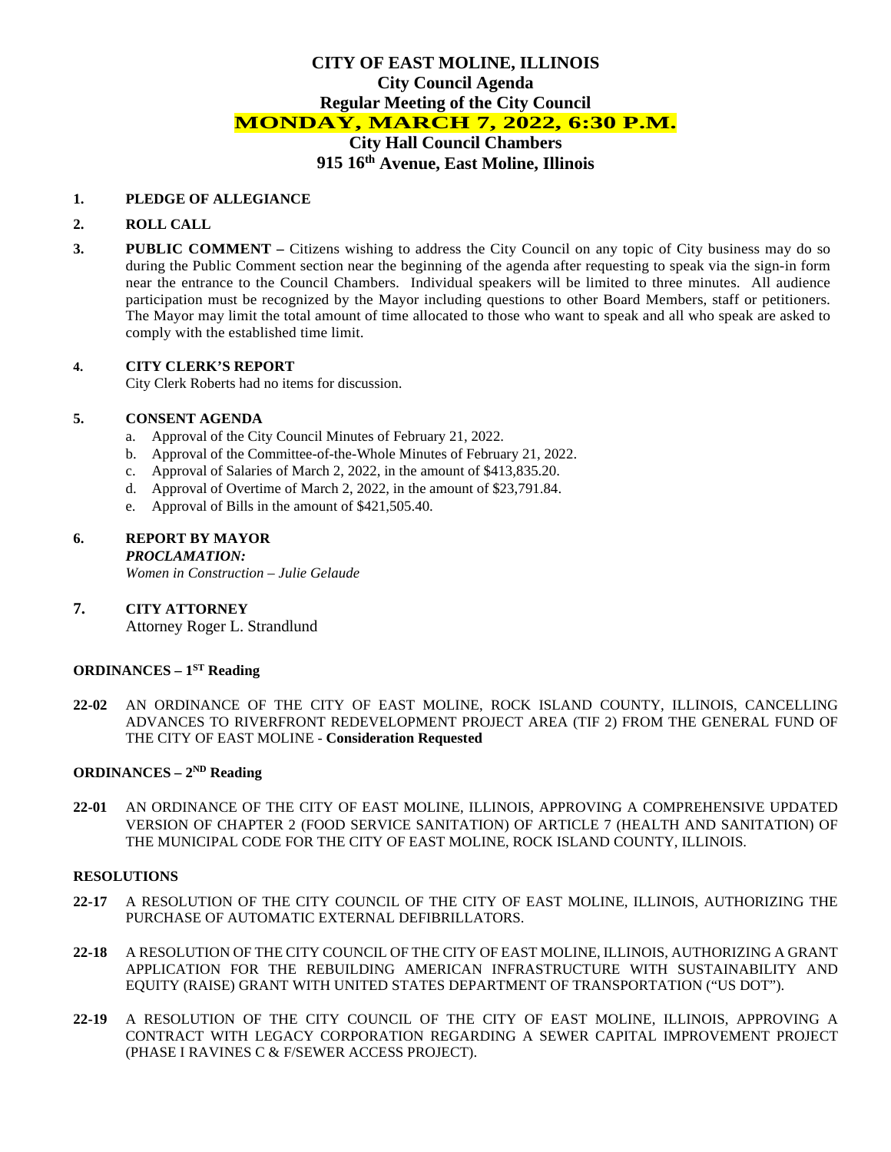# **CITY OF EAST MOLINE, ILLINOIS City Council Agenda Regular Meeting of the City Council MONDAY, MARCH 7, 2022, 6:30 P.M. City Hall Council Chambers 915 16th Avenue, East Moline, Illinois**

#### **1. PLEDGE OF ALLEGIANCE**

#### **2. ROLL CALL**

**3. PUBLIC COMMENT –** Citizens wishing to address the City Council on any topic of City business may do so during the Public Comment section near the beginning of the agenda after requesting to speak via the sign-in form near the entrance to the Council Chambers. Individual speakers will be limited to three minutes. All audience participation must be recognized by the Mayor including questions to other Board Members, staff or petitioners. The Mayor may limit the total amount of time allocated to those who want to speak and all who speak are asked to comply with the established time limit.

#### **4. CITY CLERK'S REPORT**

City Clerk Roberts had no items for discussion.

#### **5. CONSENT AGENDA**

- a. Approval of the City Council Minutes of February 21, 2022.
- b. Approval of the Committee-of-the-Whole Minutes of February 21, 2022.
- c. Approval of Salaries of March 2, 2022, in the amount of \$413,835.20.
- d. Approval of Overtime of March 2, 2022, in the amount of \$23,791.84.
- e. Approval of Bills in the amount of \$421,505.40.

#### **6. REPORT BY MAYOR** *PROCLAMATION:*

*Women in Construction – Julie Gelaude*

**7. CITY ATTORNEY**  Attorney Roger L. Strandlund

#### **ORDINANCES – 1ST Reading**

**22-02** AN ORDINANCE OF THE CITY OF EAST MOLINE, ROCK ISLAND COUNTY, ILLINOIS, CANCELLING ADVANCES TO RIVERFRONT REDEVELOPMENT PROJECT AREA (TIF 2) FROM THE GENERAL FUND OF THE CITY OF EAST MOLINE - **Consideration Requested**

### **ORDINANCES – 2ND Reading**

**22-01** AN ORDINANCE OF THE CITY OF EAST MOLINE, ILLINOIS, APPROVING A COMPREHENSIVE UPDATED VERSION OF CHAPTER 2 (FOOD SERVICE SANITATION) OF ARTICLE 7 (HEALTH AND SANITATION) OF THE MUNICIPAL CODE FOR THE CITY OF EAST MOLINE, ROCK ISLAND COUNTY, ILLINOIS.

### **RESOLUTIONS**

- **22-17** A RESOLUTION OF THE CITY COUNCIL OF THE CITY OF EAST MOLINE, ILLINOIS, AUTHORIZING THE PURCHASE OF AUTOMATIC EXTERNAL DEFIBRILLATORS.
- **22-18** A RESOLUTION OF THE CITY COUNCIL OF THE CITY OF EAST MOLINE, ILLINOIS, AUTHORIZING A GRANT APPLICATION FOR THE REBUILDING AMERICAN INFRASTRUCTURE WITH SUSTAINABILITY AND EQUITY (RAISE) GRANT WITH UNITED STATES DEPARTMENT OF TRANSPORTATION ("US DOT").
- **22-19** A RESOLUTION OF THE CITY COUNCIL OF THE CITY OF EAST MOLINE, ILLINOIS, APPROVING A CONTRACT WITH LEGACY CORPORATION REGARDING A SEWER CAPITAL IMPROVEMENT PROJECT (PHASE I RAVINES C & F/SEWER ACCESS PROJECT).